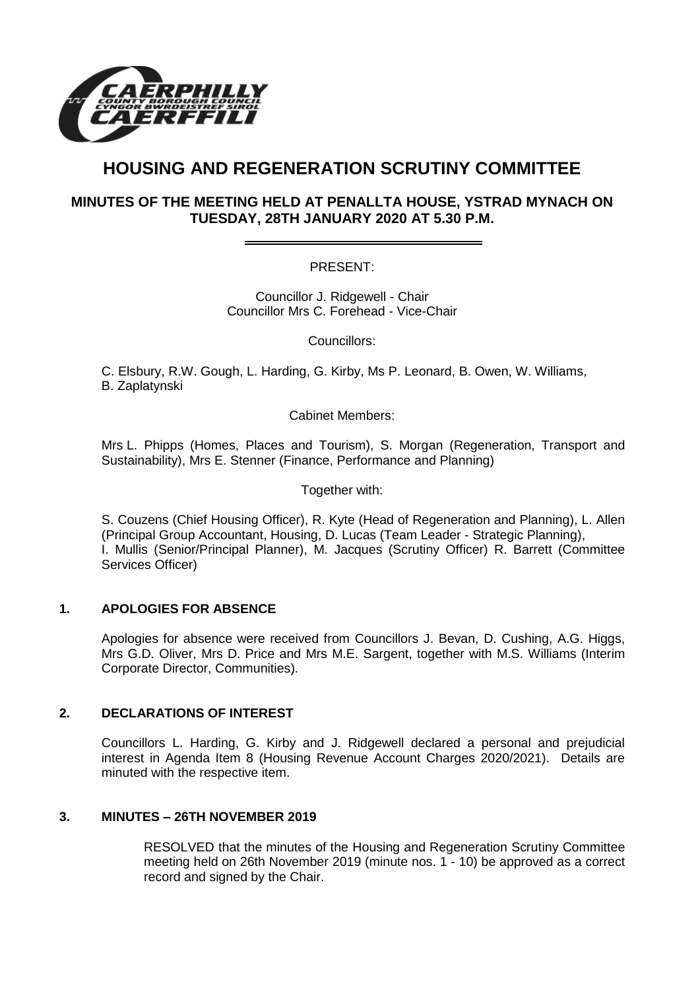

# **HOUSING AND REGENERATION SCRUTINY COMMITTEE**

## **MINUTES OF THE MEETING HELD AT PENALLTA HOUSE, YSTRAD MYNACH ON TUESDAY, 28TH JANUARY 2020 AT 5.30 P.M.**

PRESENT:

Councillor J. Ridgewell - Chair Councillor Mrs C. Forehead - Vice-Chair

Councillors:

C. Elsbury, R.W. Gough, L. Harding, G. Kirby, Ms P. Leonard, B. Owen, W. Williams, B. Zaplatynski

Cabinet Members:

Mrs L. Phipps (Homes, Places and Tourism), S. Morgan (Regeneration, Transport and Sustainability), Mrs E. Stenner (Finance, Performance and Planning)

Together with:

S. Couzens (Chief Housing Officer), R. Kyte (Head of Regeneration and Planning), L. Allen (Principal Group Accountant, Housing, D. Lucas (Team Leader - Strategic Planning), I. Mullis (Senior/Principal Planner), M. Jacques (Scrutiny Officer) R. Barrett (Committee Services Officer)

### **1. APOLOGIES FOR ABSENCE**

Apologies for absence were received from Councillors J. Bevan, D. Cushing, A.G. Higgs, Mrs G.D. Oliver, Mrs D. Price and Mrs M.E. Sargent, together with M.S. Williams (Interim Corporate Director, Communities).

### **2. DECLARATIONS OF INTEREST**

Councillors L. Harding, G. Kirby and J. Ridgewell declared a personal and prejudicial interest in Agenda Item 8 (Housing Revenue Account Charges 2020/2021). Details are minuted with the respective item.

## **3. MINUTES – 26TH NOVEMBER 2019**

RESOLVED that the minutes of the Housing and Regeneration Scrutiny Committee meeting held on 26th November 2019 (minute nos. 1 - 10) be approved as a correct record and signed by the Chair.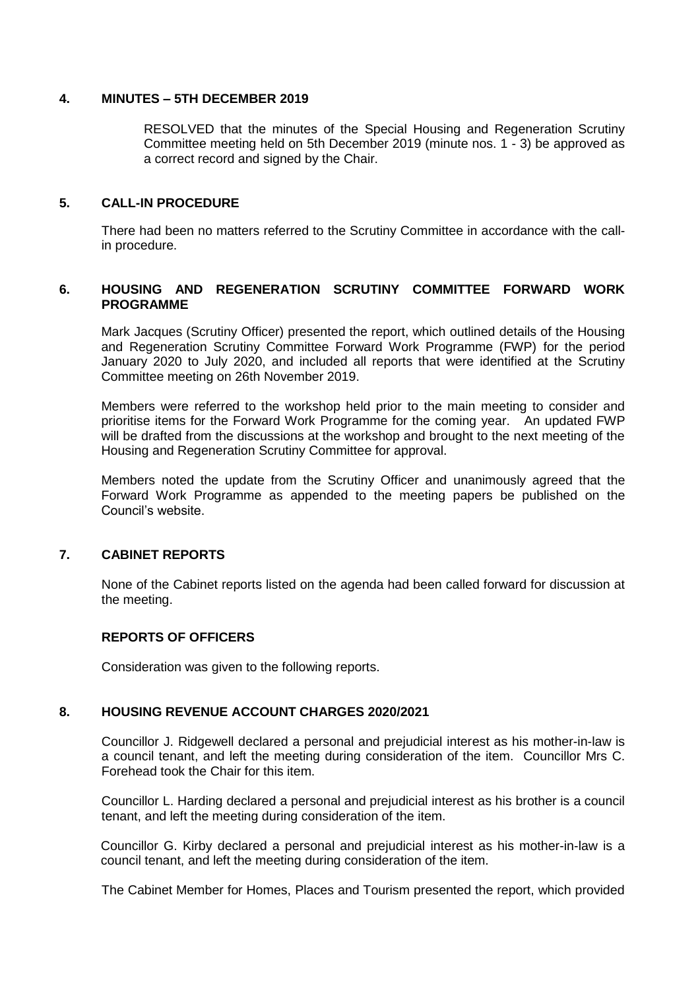#### **4. MINUTES – 5TH DECEMBER 2019**

RESOLVED that the minutes of the Special Housing and Regeneration Scrutiny Committee meeting held on 5th December 2019 (minute nos. 1 - 3) be approved as a correct record and signed by the Chair.

#### **5. CALL-IN PROCEDURE**

There had been no matters referred to the Scrutiny Committee in accordance with the callin procedure.

#### **6. HOUSING AND REGENERATION SCRUTINY COMMITTEE FORWARD WORK PROGRAMME**

Mark Jacques (Scrutiny Officer) presented the report, which outlined details of the Housing and Regeneration Scrutiny Committee Forward Work Programme (FWP) for the period January 2020 to July 2020, and included all reports that were identified at the Scrutiny Committee meeting on 26th November 2019.

Members were referred to the workshop held prior to the main meeting to consider and prioritise items for the Forward Work Programme for the coming year. An updated FWP will be drafted from the discussions at the workshop and brought to the next meeting of the Housing and Regeneration Scrutiny Committee for approval.

Members noted the update from the Scrutiny Officer and unanimously agreed that the Forward Work Programme as appended to the meeting papers be published on the Council's website.

### **7. CABINET REPORTS**

None of the Cabinet reports listed on the agenda had been called forward for discussion at the meeting.

### **REPORTS OF OFFICERS**

Consideration was given to the following reports.

#### **8. HOUSING REVENUE ACCOUNT CHARGES 2020/2021**

Councillor J. Ridgewell declared a personal and prejudicial interest as his mother-in-law is a council tenant, and left the meeting during consideration of the item. Councillor Mrs C. Forehead took the Chair for this item.

Councillor L. Harding declared a personal and prejudicial interest as his brother is a council tenant, and left the meeting during consideration of the item.

Councillor G. Kirby declared a personal and prejudicial interest as his mother-in-law is a council tenant, and left the meeting during consideration of the item.

The Cabinet Member for Homes, Places and Tourism presented the report, which provided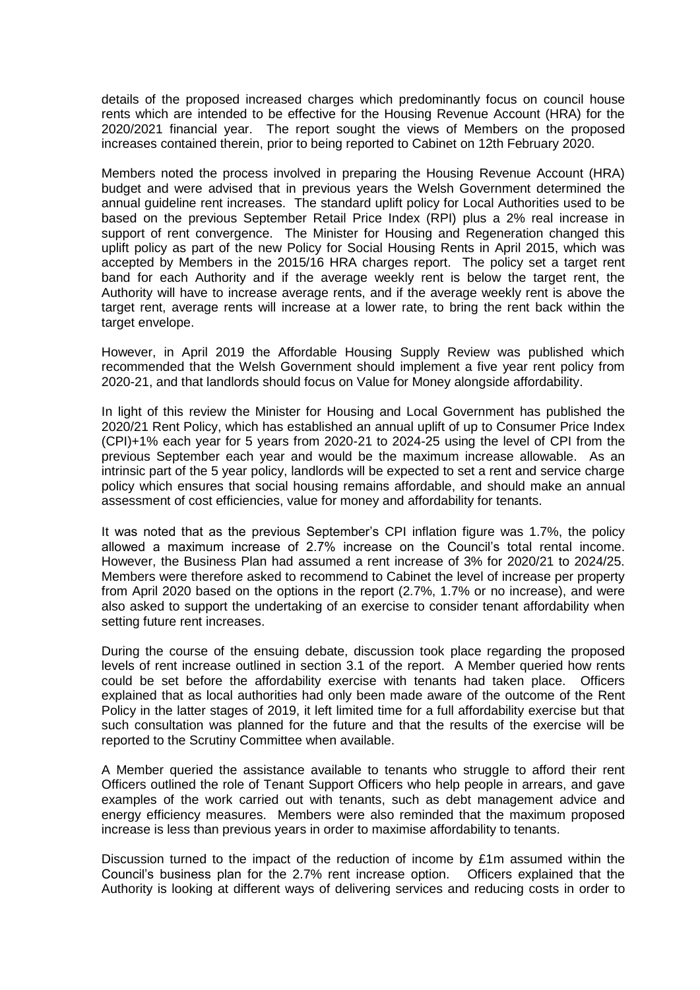details of the proposed increased charges which predominantly focus on council house rents which are intended to be effective for the Housing Revenue Account (HRA) for the 2020/2021 financial year. The report sought the views of Members on the proposed increases contained therein, prior to being reported to Cabinet on 12th February 2020.

Members noted the process involved in preparing the Housing Revenue Account (HRA) budget and were advised that in previous years the Welsh Government determined the annual guideline rent increases. The standard uplift policy for Local Authorities used to be based on the previous September Retail Price Index (RPI) plus a 2% real increase in support of rent convergence. The Minister for Housing and Regeneration changed this uplift policy as part of the new Policy for Social Housing Rents in April 2015, which was accepted by Members in the 2015/16 HRA charges report. The policy set a target rent band for each Authority and if the average weekly rent is below the target rent, the Authority will have to increase average rents, and if the average weekly rent is above the target rent, average rents will increase at a lower rate, to bring the rent back within the target envelope.

However, in April 2019 the Affordable Housing Supply Review was published which recommended that the Welsh Government should implement a five year rent policy from 2020-21, and that landlords should focus on Value for Money alongside affordability.

In light of this review the Minister for Housing and Local Government has published the 2020/21 Rent Policy, which has established an annual uplift of up to Consumer Price Index (CPI)+1% each year for 5 years from 2020-21 to 2024-25 using the level of CPI from the previous September each year and would be the maximum increase allowable. As an intrinsic part of the 5 year policy, landlords will be expected to set a rent and service charge policy which ensures that social housing remains affordable, and should make an annual assessment of cost efficiencies, value for money and affordability for tenants.

It was noted that as the previous September's CPI inflation figure was 1.7%, the policy allowed a maximum increase of 2.7% increase on the Council's total rental income. However, the Business Plan had assumed a rent increase of 3% for 2020/21 to 2024/25. Members were therefore asked to recommend to Cabinet the level of increase per property from April 2020 based on the options in the report (2.7%, 1.7% or no increase), and were also asked to support the undertaking of an exercise to consider tenant affordability when setting future rent increases.

During the course of the ensuing debate, discussion took place regarding the proposed levels of rent increase outlined in section 3.1 of the report. A Member queried how rents could be set before the affordability exercise with tenants had taken place. Officers explained that as local authorities had only been made aware of the outcome of the Rent Policy in the latter stages of 2019, it left limited time for a full affordability exercise but that such consultation was planned for the future and that the results of the exercise will be reported to the Scrutiny Committee when available.

A Member queried the assistance available to tenants who struggle to afford their rent Officers outlined the role of Tenant Support Officers who help people in arrears, and gave examples of the work carried out with tenants, such as debt management advice and energy efficiency measures. Members were also reminded that the maximum proposed increase is less than previous years in order to maximise affordability to tenants.

Discussion turned to the impact of the reduction of income by £1m assumed within the Council's business plan for the 2.7% rent increase option. Officers explained that the Authority is looking at different ways of delivering services and reducing costs in order to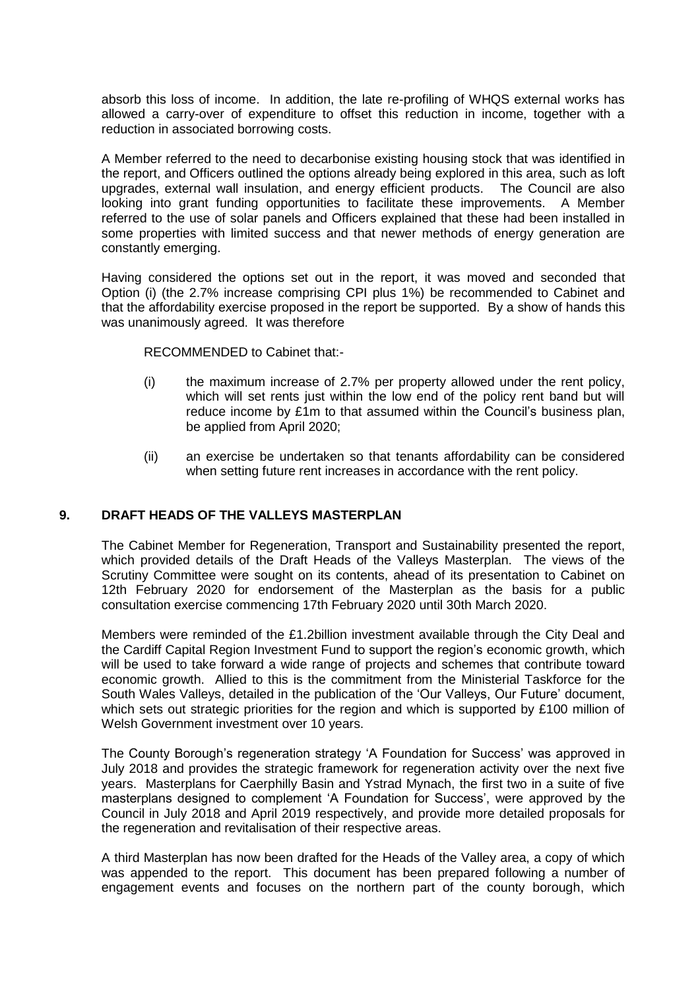absorb this loss of income. In addition, the late re-profiling of WHQS external works has allowed a carry-over of expenditure to offset this reduction in income, together with a reduction in associated borrowing costs.

A Member referred to the need to decarbonise existing housing stock that was identified in the report, and Officers outlined the options already being explored in this area, such as loft upgrades, external wall insulation, and energy efficient products. The Council are also looking into grant funding opportunities to facilitate these improvements. A Member referred to the use of solar panels and Officers explained that these had been installed in some properties with limited success and that newer methods of energy generation are constantly emerging.

Having considered the options set out in the report, it was moved and seconded that Option (i) (the 2.7% increase comprising CPI plus 1%) be recommended to Cabinet and that the affordability exercise proposed in the report be supported. By a show of hands this was unanimously agreed. It was therefore

RECOMMENDED to Cabinet that:-

- (i) the maximum increase of 2.7% per property allowed under the rent policy, which will set rents just within the low end of the policy rent band but will reduce income by £1m to that assumed within the Council's business plan, be applied from April 2020;
- (ii) an exercise be undertaken so that tenants affordability can be considered when setting future rent increases in accordance with the rent policy.

### **9. DRAFT HEADS OF THE VALLEYS MASTERPLAN**

The Cabinet Member for Regeneration, Transport and Sustainability presented the report, which provided details of the Draft Heads of the Valleys Masterplan. The views of the Scrutiny Committee were sought on its contents, ahead of its presentation to Cabinet on 12th February 2020 for endorsement of the Masterplan as the basis for a public consultation exercise commencing 17th February 2020 until 30th March 2020.

Members were reminded of the £1.2billion investment available through the City Deal and the Cardiff Capital Region Investment Fund to support the region's economic growth, which will be used to take forward a wide range of projects and schemes that contribute toward economic growth. Allied to this is the commitment from the Ministerial Taskforce for the South Wales Valleys, detailed in the publication of the 'Our Valleys, Our Future' document, which sets out strategic priorities for the region and which is supported by £100 million of Welsh Government investment over 10 years.

The County Borough's regeneration strategy 'A Foundation for Success' was approved in July 2018 and provides the strategic framework for regeneration activity over the next five years. Masterplans for Caerphilly Basin and Ystrad Mynach, the first two in a suite of five masterplans designed to complement 'A Foundation for Success', were approved by the Council in July 2018 and April 2019 respectively, and provide more detailed proposals for the regeneration and revitalisation of their respective areas.

A third Masterplan has now been drafted for the Heads of the Valley area, a copy of which was appended to the report. This document has been prepared following a number of engagement events and focuses on the northern part of the county borough, which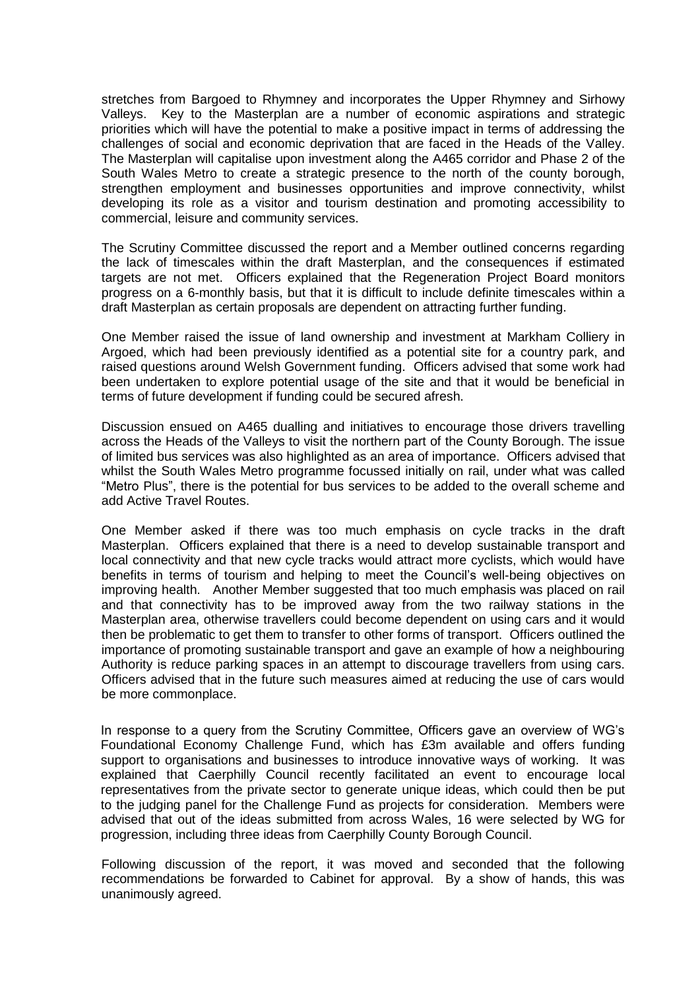stretches from Bargoed to Rhymney and incorporates the Upper Rhymney and Sirhowy Valleys. Key to the Masterplan are a number of economic aspirations and strategic priorities which will have the potential to make a positive impact in terms of addressing the challenges of social and economic deprivation that are faced in the Heads of the Valley. The Masterplan will capitalise upon investment along the A465 corridor and Phase 2 of the South Wales Metro to create a strategic presence to the north of the county borough, strengthen employment and businesses opportunities and improve connectivity, whilst developing its role as a visitor and tourism destination and promoting accessibility to commercial, leisure and community services.

The Scrutiny Committee discussed the report and a Member outlined concerns regarding the lack of timescales within the draft Masterplan, and the consequences if estimated targets are not met. Officers explained that the Regeneration Project Board monitors progress on a 6-monthly basis, but that it is difficult to include definite timescales within a draft Masterplan as certain proposals are dependent on attracting further funding.

One Member raised the issue of land ownership and investment at Markham Colliery in Argoed, which had been previously identified as a potential site for a country park, and raised questions around Welsh Government funding. Officers advised that some work had been undertaken to explore potential usage of the site and that it would be beneficial in terms of future development if funding could be secured afresh.

Discussion ensued on A465 dualling and initiatives to encourage those drivers travelling across the Heads of the Valleys to visit the northern part of the County Borough. The issue of limited bus services was also highlighted as an area of importance. Officers advised that whilst the South Wales Metro programme focussed initially on rail, under what was called "Metro Plus", there is the potential for bus services to be added to the overall scheme and add Active Travel Routes.

One Member asked if there was too much emphasis on cycle tracks in the draft Masterplan. Officers explained that there is a need to develop sustainable transport and local connectivity and that new cycle tracks would attract more cyclists, which would have benefits in terms of tourism and helping to meet the Council's well-being objectives on improving health. Another Member suggested that too much emphasis was placed on rail and that connectivity has to be improved away from the two railway stations in the Masterplan area, otherwise travellers could become dependent on using cars and it would then be problematic to get them to transfer to other forms of transport. Officers outlined the importance of promoting sustainable transport and gave an example of how a neighbouring Authority is reduce parking spaces in an attempt to discourage travellers from using cars. Officers advised that in the future such measures aimed at reducing the use of cars would be more commonplace.

In response to a query from the Scrutiny Committee, Officers gave an overview of WG's Foundational Economy Challenge Fund, which has £3m available and offers funding support to organisations and businesses to introduce innovative ways of working. It was explained that Caerphilly Council recently facilitated an event to encourage local representatives from the private sector to generate unique ideas, which could then be put to the judging panel for the Challenge Fund as projects for consideration. Members were advised that out of the ideas submitted from across Wales, 16 were selected by WG for progression, including three ideas from Caerphilly County Borough Council.

Following discussion of the report, it was moved and seconded that the following recommendations be forwarded to Cabinet for approval. By a show of hands, this was unanimously agreed.